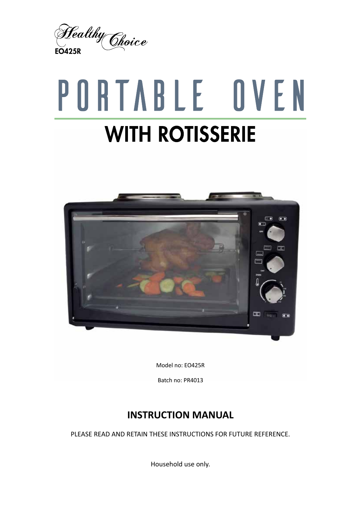

# PORTABLE OVEN **WITH ROTISSERIE**



Model no: EO425R

Batch no: PR4013

## **INSTRUCTION MANUAL**

PLEASE READ AND RETAIN THESE INSTRUCTIONS FOR FUTURE REFERENCE.

Household use only.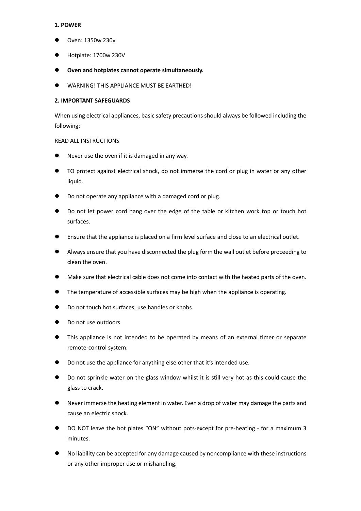#### **1. POWER**

- Oven: 1350w 230v
- Hotplate: 1700w 230V
- **Oven and hotplates cannot operate simultaneously.**
- WARNING! THIS APPLIANCE MUST BE EARTHED!

#### **2. IMPORTANT SAFEGUARDS**

When using electrical appliances, basic safety precautions should always be followed including the following:

#### READ ALL INSTRUCTIONS

- Never use the oven if it is damaged in any way.
- TO protect against electrical shock, do not immerse the cord or plug in water or any other liquid.
- Do not operate any appliance with a damaged cord or plug.
- Do not let power cord hang over the edge of the table or kitchen work top or touch hot surfaces.
- Ensure that the appliance is placed on a firm level surface and close to an electrical outlet.
- Always ensure that you have disconnected the plug form the wall outlet before proceeding to clean the oven.
- Make sure that electrical cable does not come into contact with the heated parts of the oven.
- The temperature of accessible surfaces may be high when the appliance is operating.
- Do not touch hot surfaces, use handles or knobs.
- Do not use outdoors.
- This appliance is not intended to be operated by means of an external timer or separate remote-control system.
- Do not use the appliance for anything else other that it's intended use.
- Do not sprinkle water on the glass window whilst it is still very hot as this could cause the glass to crack.
- Never immerse the heating element in water. Even a drop of water may damage the parts and cause an electric shock.
- DO NOT leave the hot plates "ON" without pots-except for pre-heating for a maximum 3 minutes.
- No liability can be accepted for any damage caused by noncompliance with these instructions or any other improper use or mishandling.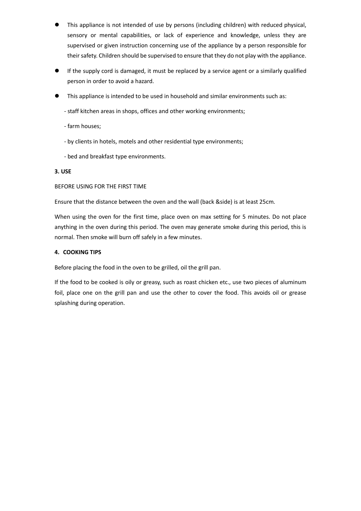- This appliance is not intended of use by persons (including children) with reduced physical, sensory or mental capabilities, or lack of experience and knowledge, unless they are supervised or given instruction concerning use of the appliance by a person responsible for their safety. Children should be supervised to ensure that they do not play with the appliance.
- If the supply cord is damaged, it must be replaced by a service agent or a similarly qualified person in order to avoid a hazard.
- This appliance is intended to be used in household and similar environments such as:
	- staff kitchen areas in shops, offices and other working environments;
	- farm houses;
	- by clients in hotels, motels and other residential type environments;
	- bed and breakfast type environments.

#### **3. USE**

#### BEFORE USING FOR THE FIRST TIME

Ensure that the distance between the oven and the wall (back &side) is at least 25cm.

When using the oven for the first time, place oven on max setting for 5 minutes. Do not place anything in the oven during this period. The oven may generate smoke during this period, this is normal. Then smoke will burn off safely in a few minutes.

#### **4. COOKING TIPS**

Before placing the food in the oven to be grilled, oil the grill pan.

If the food to be cooked is oily or greasy, such as roast chicken etc., use two pieces of aluminum foil, place one on the grill pan and use the other to cover the food. This avoids oil or grease splashing during operation.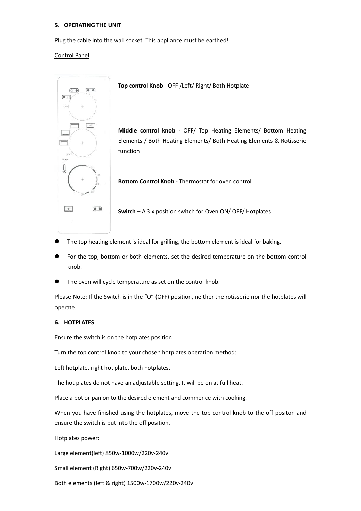#### **5. OPERATING THE UNIT**

Plug the cable into the wall socket. This appliance must be earthed!

#### Control Panel



**Top control Knob** - OFF /Left/ Right/ Both Hotplate

**Middle control knob** - OFF/ Top Heating Elements/ Bottom Heating Elements / Both Heating Elements/ Both Heating Elements & Rotisserie function

**Bottom Control Knob** - Thermostat for oven control

**Switch** – A 3 x position switch for Oven ON/ OFF/ Hotplates

- The top heating element is ideal for grilling, the bottom element is ideal for baking.
- For the top, bottom or both elements, set the desired temperature on the bottom control knob.
- The oven will cycle temperature as set on the control knob.

Please Note: If the Switch is in the "O" (OFF) position, neither the rotisserie nor the hotplates will operate.

### **6. HOTPLATES**

Ensure the switch is on the hotplates position.

Turn the top control knob to your chosen hotplates operation method:

Left hotplate, right hot plate, both hotplates.

The hot plates do not have an adjustable setting. It will be on at full heat.

Place a pot or pan on to the desired element and commence with cooking.

When you have finished using the hotplates, move the top control knob to the off positon and ensure the switch is put into the off position.

Hotplates power:

Large element(left) 850w-1000w/220v-240v

Small element (Right) 650w-700w/220v-240v

Both elements (left & right) 1500w-1700w/220v-240v